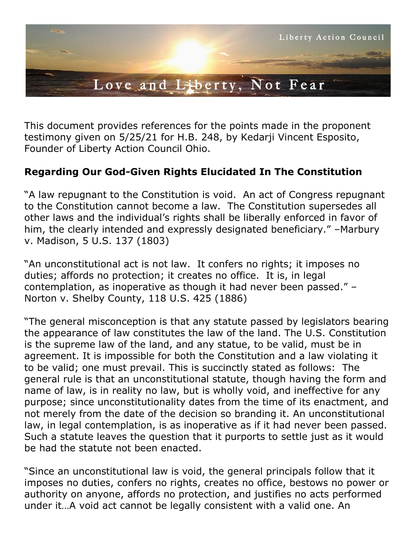

This document provides references for the points made in the proponent testimony given on 5/25/21 for H.B. 248, by Kedarji Vincent Esposito, Founder of Liberty Action Council Ohio.

## **Regarding Our God-Given Rights Elucidated In The Constitution**

"A law repugnant to the Constitution is void. An act of Congress repugnant to the Constitution cannot become a law. The Constitution supersedes all other laws and the individual's rights shall be liberally enforced in favor of him, the clearly intended and expressly designated beneficiary." –Marbury v. Madison, 5 U.S. 137 (1803)

"An unconstitutional act is not law. It confers no rights; it imposes no duties; affords no protection; it creates no office. It is, in legal contemplation, as inoperative as though it had never been passed." – Norton v. Shelby County, 118 U.S. 425 (1886)

"The general misconception is that any statute passed by legislators bearing the appearance of law constitutes the law of the land. The U.S. Constitution is the supreme law of the land, and any statue, to be valid, must be in agreement. It is impossible for both the Constitution and a law violating it to be valid; one must prevail. This is succinctly stated as follows: The general rule is that an unconstitutional statute, though having the form and name of law, is in reality no law, but is wholly void, and ineffective for any purpose; since unconstitutionality dates from the time of its enactment, and not merely from the date of the decision so branding it. An unconstitutional law, in legal contemplation, is as inoperative as if it had never been passed. Such a statute leaves the question that it purports to settle just as it would be had the statute not been enacted.

"Since an unconstitutional law is void, the general principals follow that it imposes no duties, confers no rights, creates no office, bestows no power or authority on anyone, affords no protection, and justifies no acts performed under it…A void act cannot be legally consistent with a valid one. An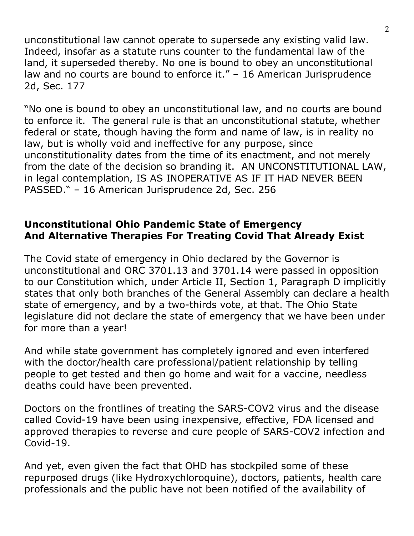unconstitutional law cannot operate to supersede any existing valid law. Indeed, insofar as a statute runs counter to the fundamental law of the land, it superseded thereby. No one is bound to obey an unconstitutional law and no courts are bound to enforce it." – 16 American Jurisprudence 2d, Sec. 177

"No one is bound to obey an unconstitutional law, and no courts are bound to enforce it. The general rule is that an unconstitutional statute, whether federal or state, though having the form and name of law, is in reality no law, but is wholly void and ineffective for any purpose, since unconstitutionality dates from the time of its enactment, and not merely from the date of the decision so branding it. AN UNCONSTITUTIONAL LAW, in legal contemplation, IS AS INOPERATIVE AS IF IT HAD NEVER BEEN PASSED." – 16 American Jurisprudence 2d, Sec. 256

## **Unconstitutional Ohio Pandemic State of Emergency And Alternative Therapies For Treating Covid That Already Exist**

The Covid state of emergency in Ohio declared by the Governor is unconstitutional and ORC 3701.13 and 3701.14 were passed in opposition to our Constitution which, under Article II, Section 1, Paragraph D implicitly states that only both branches of the General Assembly can declare a health state of emergency, and by a two-thirds vote, at that. The Ohio State legislature did not declare the state of emergency that we have been under for more than a year!

And while state government has completely ignored and even interfered with the doctor/health care professional/patient relationship by telling people to get tested and then go home and wait for a vaccine, needless deaths could have been prevented.

Doctors on the frontlines of treating the SARS-COV2 virus and the disease called Covid-19 have been using inexpensive, effective, FDA licensed and approved therapies to reverse and cure people of SARS-COV2 infection and Covid-19.

And yet, even given the fact that OHD has stockpiled some of these repurposed drugs (like Hydroxychloroquine), doctors, patients, health care professionals and the public have not been notified of the availability of